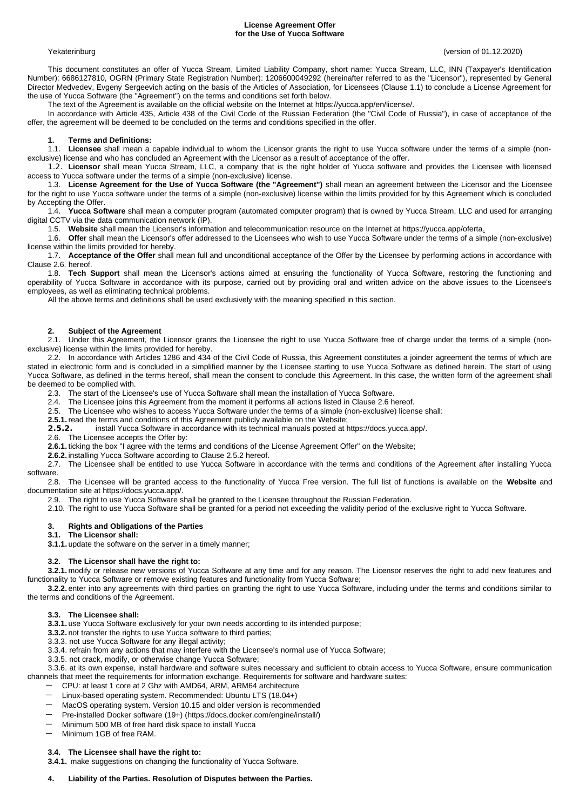## **License Agreement Offer for the Use of Yucca Software**

Yekaterinburg (version of 01.12.2020)

This document constitutes an offer of Yucca Stream, Limited Liability Company, short name: Yucca Stream, LLC, INN (Taxpayer's Identification Number): 6686127810, OGRN (Primary State Registration Number): 1206600049292 (hereinafter referred to as the "Licensor"), represented by General Director Medvedev, Evgeny Sergeevich acting on the basis of the Articles of Association, for Licensees (Clause 1.1) to conclude a License Agreement for the use of Yucca Software (the "Agreement") on the terms and conditions set forth below.

The text of the Agreement is available on the official website on the Internet at https://yucca.app/en/license/.

In accordance with Article 435, Article 438 of the Civil Code of the Russian Federation (the "Civil Code of Russia"), in case of acceptance of the offer, the agreement will be deemed to be concluded on the terms and conditions specified in the offer.

## **1. Terms and Definitions:**

1.1. **Licensee** shall mean a capable individual to whom the Licensor grants the right to use Yucca software under the terms of a simple (nonexclusive) license and who has concluded an Agreement with the Licensor as a result of acceptance of the offer.

1.2. **Licensor** shall mean Yucca Stream, LLC, a company that is the right holder of Yucca software and provides the Licensee with licensed access to Yucca software under the terms of a simple (non-exclusive) license.

1.3. **License Agreement for the Use of Yucca Software (the "Agreement")** shall mean an agreement between the Licensor and the Licensee for the right to use Yucca software under the terms of a simple (non-exclusive) license within the limits provided for by this Agreement which is concluded by Accepting the Offer.

1.4. **Yucca Software** shall mean a computer program (automated computer program) that is owned by Yucca Stream, LLC and used for arranging digital CCTV via the data communication network (IP).

1.5. **Website** shall mean the Licensor's information and telecommunication resource on the Internet at https://yucca.app/oferta.

1.6. **Offer** shall mean the Licensor's offer addressed to the Licensees who wish to use Yucca Software under the terms of a simple (non-exclusive) license within the limits provided for hereby.

1.7. **Acceptance of the Offer** shall mean full and unconditional acceptance of the Offer by the Licensee by performing actions in accordance with Clause 2.6. hereof.

1.8. **Tech Support** shall mean the Licensor's actions aimed at ensuring the functionality of Yucca Software, restoring the functioning and operability of Yucca Software in accordance with its purpose, carried out by providing oral and written advice on the above issues to the Licensee's employees, as well as eliminating technical problems.

All the above terms and definitions shall be used exclusively with the meaning specified in this section.

# **2. Subject of the Agreement**

2.1. Under this Agreement, the Licensor grants the Licensee the right to use Yucca Software free of charge under the terms of a simple (nonexclusive) license within the limits provided for hereby.

2.2. In accordance with Articles 1286 and 434 of the Civil Code of Russia, this Agreement constitutes a joinder agreement the terms of which are stated in electronic form and is concluded in a simplified manner by the Licensee starting to use Yucca Software as defined herein. The start of using Yucca Software, as defined in the terms hereof, shall mean the consent to conclude this Agreement. In this case, the written form of the agreement shall be deemed to be complied with.

2.3. The start of the Licensee's use of Yucca Software shall mean the installation of Yucca Software.

2.4. The Licensee joins this Agreement from the moment it performs all actions listed in Clause 2.6 hereof.

2.5. The Licensee who wishes to access Yucca Software under the terms of a simple (non-exclusive) license shall:

**2.5.1.**read the terms and conditions of this Agreement publicly available on the Website;

**2.5.2.** install Yucca Software in accordance with its technical manuals posted at https://docs.yucca.app/.

2.6. The Licensee accepts the Offer by:

**2.6.1.** ticking the box "I agree with the terms and conditions of the License Agreement Offer" on the Website;

**2.6.2.** installing Yucca Software according to Clause 2.5.2 hereof.

2.7. The Licensee shall be entitled to use Yucca Software in accordance with the terms and conditions of the Agreement after installing Yucca software.

2.8. The Licensee will be granted access to the functionality of Yucca Free version. The full list of functions is available on the **Website** and documentation site at https://docs.yucca.app/.

2.9. The right to use Yucca Software shall be granted to the Licensee throughout the Russian Federation.

2.10. The right to use Yucca Software shall be granted for a period not exceeding the validity period of the exclusive right to Yucca Software.

# **3. Rights and Obligations of the Parties**

# **3.1. The Licensor shall:**

**3.1.1.** update the software on the server in a timely manner;

## **3.2. The Licensor shall have the right to:**

**3.2.1.** modify or release new versions of Yucca Software at any time and for any reason. The Licensor reserves the right to add new features and functionality to Yucca Software or remove existing features and functionality from Yucca Software;

**3.2.2.** enter into any agreements with third parties on granting the right to use Yucca Software, including under the terms and conditions similar to the terms and conditions of the Agreement.

## **3.3. The Licensee shall:**

**3.3.1.** use Yucca Software exclusively for your own needs according to its intended purpose;

**3.3.2.** not transfer the rights to use Yucca software to third parties;

3.3.3. not use Yucca Software for any illegal activity;

3.3.4. refrain from any actions that may interfere with the Licensee's normal use of Yucca Software;

3.3.5. not crack, modify, or otherwise change Yucca Software;

3.3.6. at its own expense, install hardware and software suites necessary and sufficient to obtain access to Yucca Software, ensure communication channels that meet the requirements for information exchange. Requirements for software and hardware suites:

- CPU: at least 1 core at 2 Ghz with AMD64, ARM, ARM64 architecture
- Linux-based operating system. Recommended: Ubuntu LTS (18.04+)
- MacOS operating system. Version 10.15 and older version is recommended
- Pre-installed Docker software (19+) (https://docs.docker.com/engine/install/)
- Minimum 500 MB of free hard disk space to install Yucca
- Minimum 1GB of free RAM.

# **3.4. The Licensee shall have the right to:**

**3.4.1.** make suggestions on changing the functionality of Yucca Software.

# **4. Liability of the Parties. Resolution of Disputes between the Parties.**